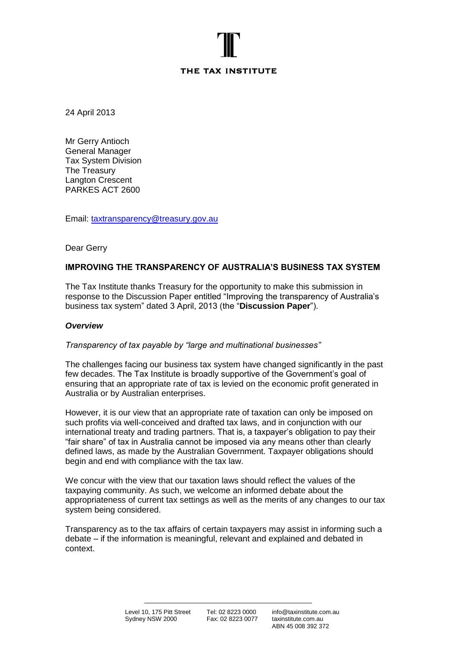# THE TAX INSTITUTE

24 April 2013

Mr Gerry Antioch General Manager Tax System Division The Treasury Langton Crescent PARKES ACT 2600

Email: [taxtransparency@treasury.gov.au](mailto:taxtransparency@treasury.gov.au) 

Dear Gerry

# **IMPROVING THE TRANSPARENCY OF AUSTRALIA'S BUSINESS TAX SYSTEM**

The Tax Institute thanks Treasury for the opportunity to make this submission in response to the Discussion Paper entitled "Improving the transparency of Australia"s business tax system" dated 3 April, 2013 (the "**Discussion Paper**").

## *Overview*

## *Transparency of tax payable by "large and multinational businesses"*

The challenges facing our business tax system have changed significantly in the past few decades. The Tax Institute is broadly supportive of the Government"s goal of ensuring that an appropriate rate of tax is levied on the economic profit generated in Australia or by Australian enterprises.

However, it is our view that an appropriate rate of taxation can only be imposed on such profits via well-conceived and drafted tax laws, and in conjunction with our international treaty and trading partners. That is, a taxpayer"s obligation to pay their "fair share" of tax in Australia cannot be imposed via any means other than clearly defined laws, as made by the Australian Government. Taxpayer obligations should begin and end with compliance with the tax law.

We concur with the view that our taxation laws should reflect the values of the taxpaying community. As such, we welcome an informed debate about the appropriateness of current tax settings as well as the merits of any changes to our tax system being considered.

Transparency as to the tax affairs of certain taxpayers may assist in informing such a debate – if the information is meaningful, relevant and explained and debated in context.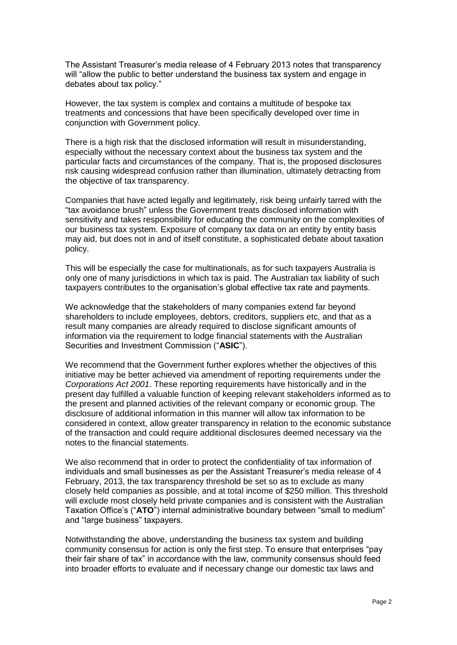The Assistant Treasurer"s media release of 4 February 2013 notes that transparency will "allow the public to better understand the business tax system and engage in debates about tax policy."

However, the tax system is complex and contains a multitude of bespoke tax treatments and concessions that have been specifically developed over time in conjunction with Government policy.

There is a high risk that the disclosed information will result in misunderstanding, especially without the necessary context about the business tax system and the particular facts and circumstances of the company. That is, the proposed disclosures risk causing widespread confusion rather than illumination, ultimately detracting from the objective of tax transparency.

Companies that have acted legally and legitimately, risk being unfairly tarred with the "tax avoidance brush" unless the Government treats disclosed information with sensitivity and takes responsibility for educating the community on the complexities of our business tax system. Exposure of company tax data on an entity by entity basis may aid, but does not in and of itself constitute, a sophisticated debate about taxation policy.

This will be especially the case for multinationals, as for such taxpayers Australia is only one of many jurisdictions in which tax is paid. The Australian tax liability of such taxpayers contributes to the organisation"s global effective tax rate and payments.

We acknowledge that the stakeholders of many companies extend far beyond shareholders to include employees, debtors, creditors, suppliers etc, and that as a result many companies are already required to disclose significant amounts of information via the requirement to lodge financial statements with the Australian Securities and Investment Commission ("**ASIC**").

We recommend that the Government further explores whether the objectives of this initiative may be better achieved via amendment of reporting requirements under the *Corporations Act 2001*. These reporting requirements have historically and in the present day fulfilled a valuable function of keeping relevant stakeholders informed as to the present and planned activities of the relevant company or economic group. The disclosure of additional information in this manner will allow tax information to be considered in context, allow greater transparency in relation to the economic substance of the transaction and could require additional disclosures deemed necessary via the notes to the financial statements.

We also recommend that in order to protect the confidentiality of tax information of individuals and small businesses as per the Assistant Treasurer"s media release of 4 February, 2013, the tax transparency threshold be set so as to exclude as many closely held companies as possible, and at total income of \$250 million. This threshold will exclude most closely held private companies and is consistent with the Australian Taxation Office"s ("**ATO**") internal administrative boundary between "small to medium" and "large business" taxpayers.

Notwithstanding the above, understanding the business tax system and building community consensus for action is only the first step. To ensure that enterprises "pay their fair share of tax" in accordance with the law, community consensus should feed into broader efforts to evaluate and if necessary change our domestic tax laws and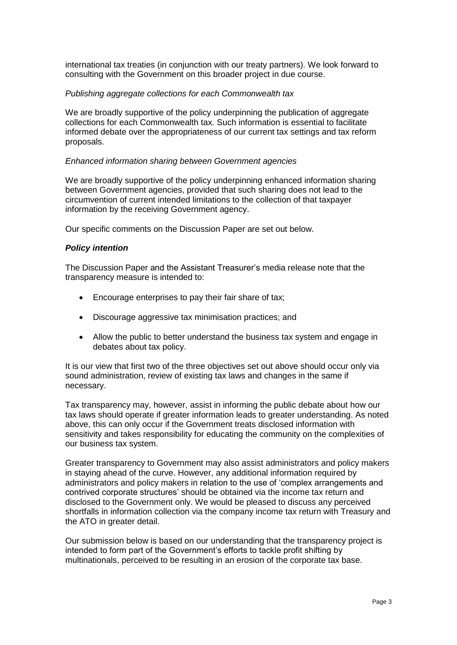international tax treaties (in conjunction with our treaty partners). We look forward to consulting with the Government on this broader project in due course.

### *Publishing aggregate collections for each Commonwealth tax*

We are broadly supportive of the policy underpinning the publication of aggregate collections for each Commonwealth tax. Such information is essential to facilitate informed debate over the appropriateness of our current tax settings and tax reform proposals.

#### *Enhanced information sharing between Government agencies*

We are broadly supportive of the policy underpinning enhanced information sharing between Government agencies, provided that such sharing does not lead to the circumvention of current intended limitations to the collection of that taxpayer information by the receiving Government agency.

Our specific comments on the Discussion Paper are set out below.

### *Policy intention*

The Discussion Paper and the Assistant Treasurer"s media release note that the transparency measure is intended to:

- Encourage enterprises to pay their fair share of tax;
- Discourage aggressive tax minimisation practices; and
- Allow the public to better understand the business tax system and engage in debates about tax policy.

It is our view that first two of the three objectives set out above should occur only via sound administration, review of existing tax laws and changes in the same if necessary.

Tax transparency may, however, assist in informing the public debate about how our tax laws should operate if greater information leads to greater understanding. As noted above, this can only occur if the Government treats disclosed information with sensitivity and takes responsibility for educating the community on the complexities of our business tax system.

Greater transparency to Government may also assist administrators and policy makers in staying ahead of the curve. However, any additional information required by administrators and policy makers in relation to the use of "complex arrangements and contrived corporate structures" should be obtained via the income tax return and disclosed to the Government only. We would be pleased to discuss any perceived shortfalls in information collection via the company income tax return with Treasury and the ATO in greater detail.

Our submission below is based on our understanding that the transparency project is intended to form part of the Government"s efforts to tackle profit shifting by multinationals, perceived to be resulting in an erosion of the corporate tax base.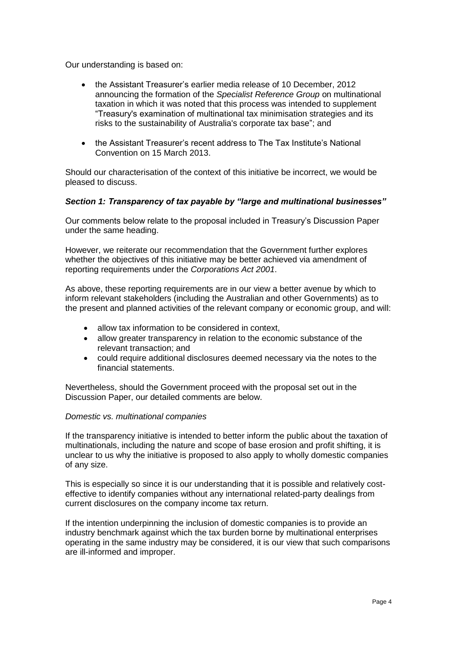Our understanding is based on:

- the Assistant Treasurer"s earlier media release of 10 December, 2012 announcing the formation of the *Specialist Reference Group* on multinational taxation in which it was noted that this process was intended to supplement "Treasury's examination of multinational tax minimisation strategies and its risks to the sustainability of Australia's corporate tax base"; and
- the Assistant Treasurer's recent address to The Tax Institute's National Convention on 15 March 2013.

Should our characterisation of the context of this initiative be incorrect, we would be pleased to discuss.

## *Section 1: Transparency of tax payable by "large and multinational businesses"*

Our comments below relate to the proposal included in Treasury"s Discussion Paper under the same heading.

However, we reiterate our recommendation that the Government further explores whether the objectives of this initiative may be better achieved via amendment of reporting requirements under the *Corporations Act 2001*.

As above, these reporting requirements are in our view a better avenue by which to inform relevant stakeholders (including the Australian and other Governments) as to the present and planned activities of the relevant company or economic group, and will:

- allow tax information to be considered in context,
- allow greater transparency in relation to the economic substance of the relevant transaction; and
- could require additional disclosures deemed necessary via the notes to the financial statements.

Nevertheless, should the Government proceed with the proposal set out in the Discussion Paper, our detailed comments are below.

### *Domestic vs. multinational companies*

If the transparency initiative is intended to better inform the public about the taxation of multinationals, including the nature and scope of base erosion and profit shifting, it is unclear to us why the initiative is proposed to also apply to wholly domestic companies of any size.

This is especially so since it is our understanding that it is possible and relatively costeffective to identify companies without any international related-party dealings from current disclosures on the company income tax return.

If the intention underpinning the inclusion of domestic companies is to provide an industry benchmark against which the tax burden borne by multinational enterprises operating in the same industry may be considered, it is our view that such comparisons are ill-informed and improper.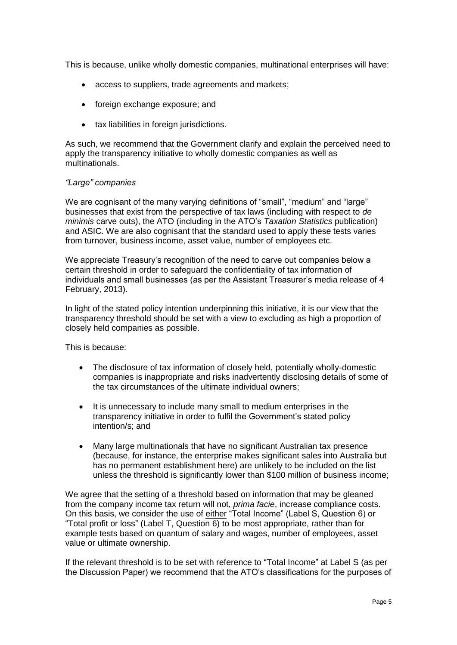This is because, unlike wholly domestic companies, multinational enterprises will have:

- access to suppliers, trade agreements and markets;
- foreign exchange exposure; and
- tax liabilities in foreign jurisdictions.

As such, we recommend that the Government clarify and explain the perceived need to apply the transparency initiative to wholly domestic companies as well as multinationals.

### *"Large" companies*

We are cognisant of the many varying definitions of "small", "medium" and "large" businesses that exist from the perspective of tax laws (including with respect to *de minimis* carve outs), the ATO (including in the ATO"s *Taxation Statistics* publication) and ASIC. We are also cognisant that the standard used to apply these tests varies from turnover, business income, asset value, number of employees etc.

We appreciate Treasury"s recognition of the need to carve out companies below a certain threshold in order to safeguard the confidentiality of tax information of individuals and small businesses (as per the Assistant Treasurer"s media release of 4 February, 2013).

In light of the stated policy intention underpinning this initiative, it is our view that the transparency threshold should be set with a view to excluding as high a proportion of closely held companies as possible.

This is because:

- The disclosure of tax information of closely held, potentially wholly-domestic companies is inappropriate and risks inadvertently disclosing details of some of the tax circumstances of the ultimate individual owners;
- It is unnecessary to include many small to medium enterprises in the transparency initiative in order to fulfil the Government"s stated policy intention/s; and
- Many large multinationals that have no significant Australian tax presence (because, for instance, the enterprise makes significant sales into Australia but has no permanent establishment here) are unlikely to be included on the list unless the threshold is significantly lower than \$100 million of business income;

We agree that the setting of a threshold based on information that may be gleaned from the company income tax return will not, *prima facie*, increase compliance costs. On this basis, we consider the use of either "Total Income" (Label S, Question 6) or "Total profit or loss" (Label T, Question  $6$ ) to be most appropriate, rather than for example tests based on quantum of salary and wages, number of employees, asset value or ultimate ownership.

If the relevant threshold is to be set with reference to "Total Income" at Label S (as per the Discussion Paper) we recommend that the ATO"s classifications for the purposes of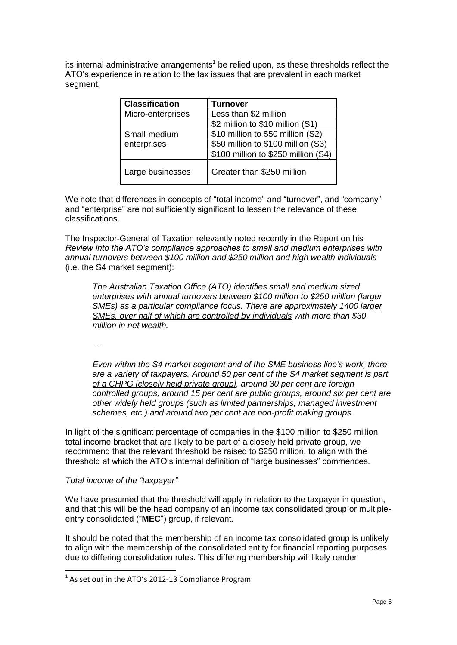its internal administrative arrangements<sup>1</sup> be relied upon, as these thresholds reflect the ATO"s experience in relation to the tax issues that are prevalent in each market segment.

| <b>Classification</b>       | <b>Turnover</b>                     |  |  |
|-----------------------------|-------------------------------------|--|--|
| Micro-enterprises           | Less than \$2 million               |  |  |
|                             | \$2 million to \$10 million (S1)    |  |  |
| Small-medium<br>enterprises | \$10 million to \$50 million (S2)   |  |  |
|                             | \$50 million to \$100 million (S3)  |  |  |
|                             | \$100 million to \$250 million (S4) |  |  |
| Large businesses            | Greater than \$250 million          |  |  |

We note that differences in concepts of "total income" and "turnover", and "company" and "enterprise" are not sufficiently significant to lessen the relevance of these classifications.

The Inspector-General of Taxation relevantly noted recently in the Report on his *Review into the ATO's compliance approaches to small and medium enterprises with annual turnovers between \$100 million and \$250 million and high wealth individuals* (i.e. the S4 market segment):

*The Australian Taxation Office (ATO) identifies small and medium sized enterprises with annual turnovers between \$100 million to \$250 million (larger SMEs) as a particular compliance focus. There are approximately 1400 larger SMEs, over half of which are controlled by individuals with more than \$30 million in net wealth.* 

*…* 

*Even within the S4 market segment and of the SME business line's work, there are a variety of taxpayers. Around 50 per cent of the S4 market segment is part of a CHPG [closely held private group], around 30 per cent are foreign controlled groups, around 15 per cent are public groups, around six per cent are other widely held groups (such as limited partnerships, managed investment schemes, etc.) and around two per cent are non-profit making groups.* 

In light of the significant percentage of companies in the \$100 million to \$250 million total income bracket that are likely to be part of a closely held private group, we recommend that the relevant threshold be raised to \$250 million, to align with the threshold at which the ATO"s internal definition of "large businesses" commences.

## *Total income of the "taxpayer"*

1

We have presumed that the threshold will apply in relation to the taxpayer in question, and that this will be the head company of an income tax consolidated group or multipleentry consolidated ("**MEC**") group, if relevant.

It should be noted that the membership of an income tax consolidated group is unlikely to align with the membership of the consolidated entity for financial reporting purposes due to differing consolidation rules. This differing membership will likely render

 $<sup>1</sup>$  As set out in the ATO's 2012-13 Compliance Program</sup>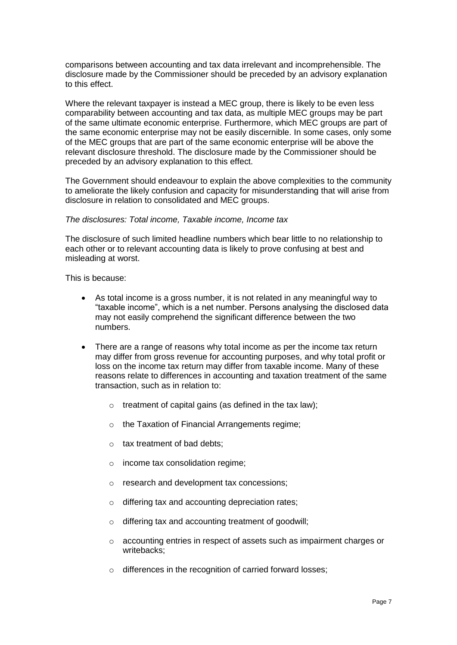comparisons between accounting and tax data irrelevant and incomprehensible. The disclosure made by the Commissioner should be preceded by an advisory explanation to this effect.

Where the relevant taxpayer is instead a MEC group, there is likely to be even less comparability between accounting and tax data, as multiple MEC groups may be part of the same ultimate economic enterprise. Furthermore, which MEC groups are part of the same economic enterprise may not be easily discernible. In some cases, only some of the MEC groups that are part of the same economic enterprise will be above the relevant disclosure threshold. The disclosure made by the Commissioner should be preceded by an advisory explanation to this effect.

The Government should endeavour to explain the above complexities to the community to ameliorate the likely confusion and capacity for misunderstanding that will arise from disclosure in relation to consolidated and MEC groups.

## *The disclosures: Total income, Taxable income, Income tax*

The disclosure of such limited headline numbers which bear little to no relationship to each other or to relevant accounting data is likely to prove confusing at best and misleading at worst.

This is because:

- As total income is a gross number, it is not related in any meaningful way to "taxable income", which is a net number. Persons analysing the disclosed data may not easily comprehend the significant difference between the two numbers.
- There are a range of reasons why total income as per the income tax return may differ from gross revenue for accounting purposes, and why total profit or loss on the income tax return may differ from taxable income. Many of these reasons relate to differences in accounting and taxation treatment of the same transaction, such as in relation to:
	- $\circ$  treatment of capital gains (as defined in the tax law);
	- o the Taxation of Financial Arrangements regime;
	- o tax treatment of bad debts;
	- o income tax consolidation regime;
	- o research and development tax concessions;
	- o differing tax and accounting depreciation rates;
	- o differing tax and accounting treatment of goodwill;
	- o accounting entries in respect of assets such as impairment charges or writebacks;
	- o differences in the recognition of carried forward losses;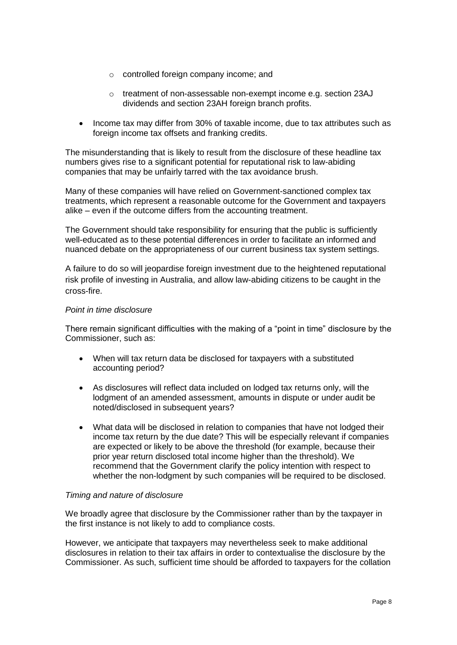- o controlled foreign company income; and
- o treatment of non-assessable non-exempt income e.g. section 23AJ dividends and section 23AH foreign branch profits.
- Income tax may differ from 30% of taxable income, due to tax attributes such as foreign income tax offsets and franking credits.

The misunderstanding that is likely to result from the disclosure of these headline tax numbers gives rise to a significant potential for reputational risk to law-abiding companies that may be unfairly tarred with the tax avoidance brush.

Many of these companies will have relied on Government-sanctioned complex tax treatments, which represent a reasonable outcome for the Government and taxpayers alike – even if the outcome differs from the accounting treatment.

The Government should take responsibility for ensuring that the public is sufficiently well-educated as to these potential differences in order to facilitate an informed and nuanced debate on the appropriateness of our current business tax system settings.

A failure to do so will jeopardise foreign investment due to the heightened reputational risk profile of investing in Australia, and allow law-abiding citizens to be caught in the cross-fire.

## *Point in time disclosure*

There remain significant difficulties with the making of a "point in time" disclosure by the Commissioner, such as:

- When will tax return data be disclosed for taxpayers with a substituted accounting period?
- As disclosures will reflect data included on lodged tax returns only, will the lodgment of an amended assessment, amounts in dispute or under audit be noted/disclosed in subsequent years?
- What data will be disclosed in relation to companies that have not lodged their income tax return by the due date? This will be especially relevant if companies are expected or likely to be above the threshold (for example, because their prior year return disclosed total income higher than the threshold). We recommend that the Government clarify the policy intention with respect to whether the non-lodgment by such companies will be required to be disclosed.

### *Timing and nature of disclosure*

We broadly agree that disclosure by the Commissioner rather than by the taxpayer in the first instance is not likely to add to compliance costs.

However, we anticipate that taxpayers may nevertheless seek to make additional disclosures in relation to their tax affairs in order to contextualise the disclosure by the Commissioner. As such, sufficient time should be afforded to taxpayers for the collation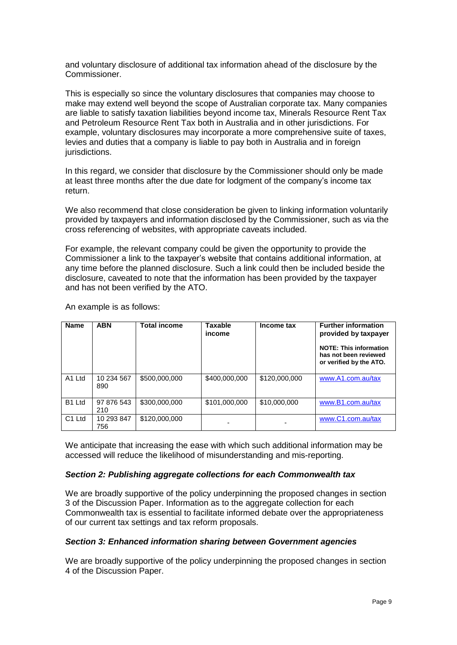and voluntary disclosure of additional tax information ahead of the disclosure by the Commissioner.

This is especially so since the voluntary disclosures that companies may choose to make may extend well beyond the scope of Australian corporate tax. Many companies are liable to satisfy taxation liabilities beyond income tax, Minerals Resource Rent Tax and Petroleum Resource Rent Tax both in Australia and in other jurisdictions. For example, voluntary disclosures may incorporate a more comprehensive suite of taxes, levies and duties that a company is liable to pay both in Australia and in foreign jurisdictions.

In this regard, we consider that disclosure by the Commissioner should only be made at least three months after the due date for lodgment of the company"s income tax return.

We also recommend that close consideration be given to linking information voluntarily provided by taxpayers and information disclosed by the Commissioner, such as via the cross referencing of websites, with appropriate caveats included.

For example, the relevant company could be given the opportunity to provide the Commissioner a link to the taxpayer"s website that contains additional information, at any time before the planned disclosure. Such a link could then be included beside the disclosure, caveated to note that the information has been provided by the taxpayer and has not been verified by the ATO.

| <b>Name</b>        | <b>ABN</b>        | <b>Total income</b> | <b>Taxable</b><br>income | Income tax    | <b>Further information</b><br>provided by taxpayer<br><b>NOTE: This information</b><br>has not been reviewed<br>or verified by the ATO. |
|--------------------|-------------------|---------------------|--------------------------|---------------|-----------------------------------------------------------------------------------------------------------------------------------------|
| A1 Ltd             | 10 234 567<br>890 | \$500,000,000       | \$400,000,000            | \$120,000,000 | www.A1.com.au/tax                                                                                                                       |
| B <sub>1</sub> Ltd | 97 876 543<br>210 | \$300,000,000       | \$101,000,000            | \$10,000,000  | www.B1.com.au/tax                                                                                                                       |
| C <sub>1</sub> Ltd | 10 293 847<br>756 | \$120,000,000       |                          |               | www.C1.com.au/tax                                                                                                                       |

An example is as follows:

We anticipate that increasing the ease with which such additional information may be accessed will reduce the likelihood of misunderstanding and mis-reporting.

#### *Section 2: Publishing aggregate collections for each Commonwealth tax*

We are broadly supportive of the policy underpinning the proposed changes in section 3 of the Discussion Paper. Information as to the aggregate collection for each Commonwealth tax is essential to facilitate informed debate over the appropriateness of our current tax settings and tax reform proposals.

### *Section 3: Enhanced information sharing between Government agencies*

We are broadly supportive of the policy underpinning the proposed changes in section 4 of the Discussion Paper.